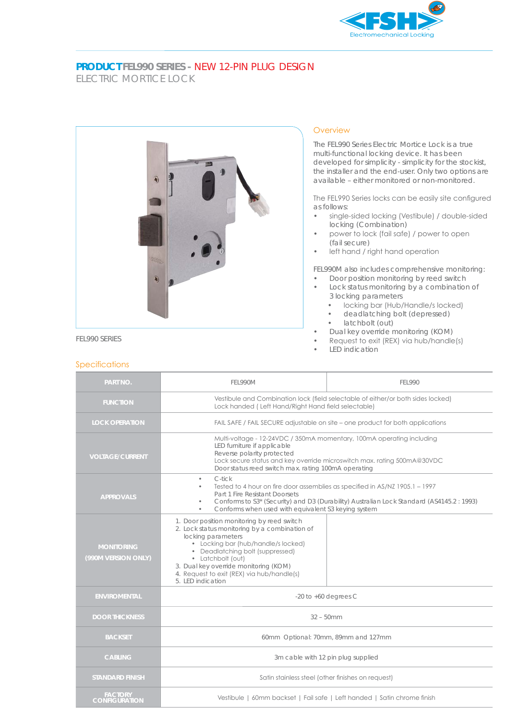

## **PRODUCT FEL990 SERIES -** NEW 12-PIN PLUG DESIGN ELECTRIC MORTICE LOCK



## **Overview**

The FEL990 Series Electric Mortice Lock is a true multi-functional locking device. It has been developed for simplicity - simplicity for the stockist, the installer and the end-user. Only two options are available – either monitored or non-monitored.

The FEL990 Series locks can be easily site configured as follows:

- single-sided locking (Vestibule) / double-sided locking (Combination)
- power to lock (fail safe) / power to open (fail secure)
- left hand / right hand operation

FEL990M also includes comprehensive monitoring: Door position monitoring by reed switch

- Lock status monitoring by a combination of 3 locking parameters
	- locking bar (Hub/Handle/s locked)
	- deadlatching bolt (depressed)
	- latchbolt (out)
- Dual key override monitoring (KOM)
- Request to exit (REX) via hub/handle(s)
- LED indication

## **Specifications**

| <b>PART NO.</b>                          | FFI 990M                                                                                                                                                                                                                                                                                                                      | FFI 990 |
|------------------------------------------|-------------------------------------------------------------------------------------------------------------------------------------------------------------------------------------------------------------------------------------------------------------------------------------------------------------------------------|---------|
| <b>FUNCTION</b>                          | Vestibule and Combination lock (field selectable of either/or both sides locked)<br>Lock handed (Left Hand/Right Hand field selectable)                                                                                                                                                                                       |         |
| <b>LOCK OPERATION</b>                    | FAIL SAFE / FAIL SECURE adjustable on site – one product for both applications                                                                                                                                                                                                                                                |         |
| <b>VOLTAGE/CURRENT</b>                   | Multi-voltage - 12-24VDC / 350mA momentary, 100mA operating including<br>LED furniture if applicable<br>Reverse polarity protected<br>Lock secure status and key override microswitch max. rating 500mA@30VDC<br>Door status reed switch max. rating 100mA operating                                                          |         |
| <b>APPROVALS</b>                         | C-tick<br>۰<br>Tested to 4 hour on fire door assemblies as specified in AS/NZ 1905.1 - 1997<br>Part 1 Fire Resistant Doorsets<br>Conforms to S3* (Security) and D3 (Durability) Australian Lock Standard (AS4145.2: 1993)<br>Conforms when used with equivalent S3 keying system                                              |         |
| <b>MONITORING</b><br>(990M VERSION ONLY) | 1. Door position monitoring by reed switch<br>2. Lock status monitoring by a combination of<br>locking parameters<br>• Locking bar (hub/handle/s locked)<br>• Deadlatching bolt (suppressed)<br>• Latchbolt (out)<br>3. Dual key override monitoring (KOM)<br>4. Request to exit (REX) via hub/handle(s)<br>5. IFD indication |         |
| <b>ENVIROMENTAL</b>                      | -20 to $+60$ degrees C                                                                                                                                                                                                                                                                                                        |         |
| <b>DOOR THICKNESS</b>                    | $32 - 50$ mm                                                                                                                                                                                                                                                                                                                  |         |
| <b>BACKSET</b>                           | 60mm Optional: 70mm, 89mm and 127mm                                                                                                                                                                                                                                                                                           |         |
| <b>CABLING</b>                           | 3m cable with 12 pin plug supplied                                                                                                                                                                                                                                                                                            |         |
| <b>STANDARD FINISH</b>                   | Satin stainless steel (other finishes on request)                                                                                                                                                                                                                                                                             |         |
| FACTORY<br>CONFIGURATION                 | Vestibule   60mm backset   Fail safe   Left handed   Satin chrome finish                                                                                                                                                                                                                                                      |         |